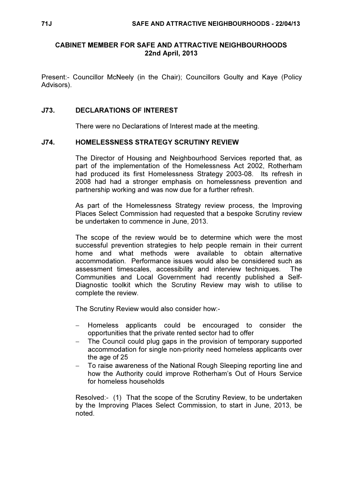# CABINET MEMBER FOR SAFE AND ATTRACTIVE NEIGHBOURHOODS 22nd April, 2013

Present:- Councillor McNeely (in the Chair); Councillors Goulty and Kaye (Policy Advisors).

### J73. DECLARATIONS OF INTEREST

There were no Declarations of Interest made at the meeting.

#### J74. HOMELESSNESS STRATEGY SCRUTINY REVIEW

 The Director of Housing and Neighbourhood Services reported that, as part of the implementation of the Homelessness Act 2002, Rotherham had produced its first Homelessness Strategy 2003-08. Its refresh in 2008 had had a stronger emphasis on homelessness prevention and partnership working and was now due for a further refresh.

As part of the Homelessness Strategy review process, the Improving Places Select Commission had requested that a bespoke Scrutiny review be undertaken to commence in June, 2013.

The scope of the review would be to determine which were the most successful prevention strategies to help people remain in their current home and what methods were available to obtain alternative accommodation. Performance issues would also be considered such as assessment timescales, accessibility and interview techniques. The Communities and Local Government had recently published a Self-Diagnostic toolkit which the Scrutiny Review may wish to utilise to complete the review.

The Scrutiny Review would also consider how:-

- Homeless applicants could be encouraged to consider the opportunities that the private rented sector had to offer
- The Council could plug gaps in the provision of temporary supported accommodation for single non-priority need homeless applicants over the age of 25
- − To raise awareness of the National Rough Sleeping reporting line and how the Authority could improve Rotherham's Out of Hours Service for homeless households

Resolved:- (1) That the scope of the Scrutiny Review, to be undertaken by the Improving Places Select Commission, to start in June, 2013, be noted.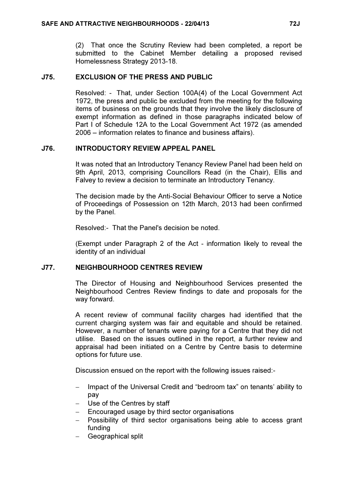(2) That once the Scrutiny Review had been completed, a report be submitted to the Cabinet Member detailing a proposed revised Homelessness Strategy 2013-18.

# J75. EXCLUSION OF THE PRESS AND PUBLIC

 Resolved: - That, under Section 100A(4) of the Local Government Act 1972, the press and public be excluded from the meeting for the following items of business on the grounds that they involve the likely disclosure of exempt information as defined in those paragraphs indicated below of Part I of Schedule 12A to the Local Government Act 1972 (as amended 2006 – information relates to finance and business affairs).

# J76. INTRODUCTORY REVIEW APPEAL PANEL

 It was noted that an Introductory Tenancy Review Panel had been held on 9th April, 2013, comprising Councillors Read (in the Chair), Ellis and Falvey to review a decision to terminate an Introductory Tenancy.

The decision made by the Anti-Social Behaviour Officer to serve a Notice of Proceedings of Possession on 12th March, 2013 had been confirmed by the Panel.

Resolved:- That the Panel's decision be noted.

(Exempt under Paragraph 2 of the Act - information likely to reveal the identity of an individual

### J77. NEIGHBOURHOOD CENTRES REVIEW

 The Director of Housing and Neighbourhood Services presented the Neighbourhood Centres Review findings to date and proposals for the way forward.

A recent review of communal facility charges had identified that the current charging system was fair and equitable and should be retained. However, a number of tenants were paying for a Centre that they did not utilise. Based on the issues outlined in the report, a further review and appraisal had been initiated on a Centre by Centre basis to determine options for future use.

Discussion ensued on the report with the following issues raised:-

- − Impact of the Universal Credit and "bedroom tax" on tenants' ability to pay
- − Use of the Centres by staff
- − Encouraged usage by third sector organisations
- − Possibility of third sector organisations being able to access grant funding
- − Geographical split